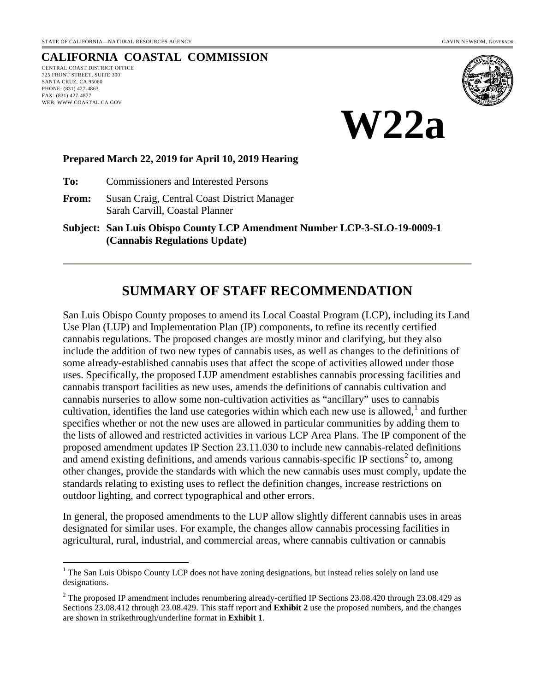#### **CALIFORNIA COASTAL COMMISSION** CENTRAL COAST DISTRICT OFFICE 725 FRONT STREET, SUITE 300 SANTA CRUZ, CA 95060 PHONE: (831) 427-4863 FAX: (831) 427-4877 WEB: WWW.COASTAL.CA.GOV





#### **Prepared March 22, 2019 for April 10, 2019 Hearing**

**To:** Commissioners and Interested Persons

**From:** Susan Craig, Central Coast District Manager Sarah Carvill, Coastal Planner

**Subject: San Luis Obispo County LCP Amendment Number LCP-3-SLO-19-0009-1 (Cannabis Regulations Update)**

# **SUMMARY OF STAFF RECOMMENDATION**

San Luis Obispo County proposes to amend its Local Coastal Program (LCP), including its Land Use Plan (LUP) and Implementation Plan (IP) components, to refine its recently certified cannabis regulations. The proposed changes are mostly minor and clarifying, but they also include the addition of two new types of cannabis uses, as well as changes to the definitions of some already-established cannabis uses that affect the scope of activities allowed under those uses. Specifically, the proposed LUP amendment establishes cannabis processing facilities and cannabis transport facilities as new uses, amends the definitions of cannabis cultivation and cannabis nurseries to allow some non-cultivation activities as "ancillary" uses to cannabis cultivation, identifies the land use categories within which each new use is allowed, $<sup>1</sup>$  $<sup>1</sup>$  $<sup>1</sup>$  and further</sup> specifies whether or not the new uses are allowed in particular communities by adding them to the lists of allowed and restricted activities in various LCP Area Plans. The IP component of the proposed amendment updates IP Section 23.11.030 to include new cannabis-related definitions and amend existing definitions, and amends various cannabis-specific IP sections<sup>[2](#page-0-1)</sup> to, among other changes, provide the standards with which the new cannabis uses must comply, update the standards relating to existing uses to reflect the definition changes, increase restrictions on outdoor lighting, and correct typographical and other errors.

In general, the proposed amendments to the LUP allow slightly different cannabis uses in areas designated for similar uses. For example, the changes allow cannabis processing facilities in agricultural, rural, industrial, and commercial areas, where cannabis cultivation or cannabis

<span id="page-0-0"></span> $\overline{a}$  $<sup>1</sup>$  The San Luis Obispo County LCP does not have zoning designations, but instead relies solely on land use</sup> designations.

<span id="page-0-1"></span> $2^2$  The proposed IP amendment includes renumbering already-certified IP Sections 23.08.420 through 23.08.429 as Sections 23.08.412 through 23.08.429. This staff report and **Exhibit 2** use the proposed numbers, and the changes are shown in strikethrough/underline format in **Exhibit 1**.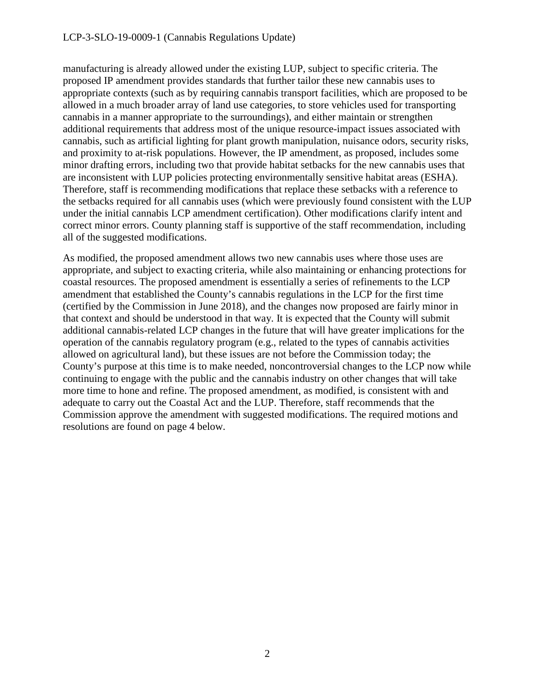manufacturing is already allowed under the existing LUP, subject to specific criteria. The proposed IP amendment provides standards that further tailor these new cannabis uses to appropriate contexts (such as by requiring cannabis transport facilities, which are proposed to be allowed in a much broader array of land use categories, to store vehicles used for transporting cannabis in a manner appropriate to the surroundings), and either maintain or strengthen additional requirements that address most of the unique resource-impact issues associated with cannabis, such as artificial lighting for plant growth manipulation, nuisance odors, security risks, and proximity to at-risk populations. However, the IP amendment, as proposed, includes some minor drafting errors, including two that provide habitat setbacks for the new cannabis uses that are inconsistent with LUP policies protecting environmentally sensitive habitat areas (ESHA). Therefore, staff is recommending modifications that replace these setbacks with a reference to the setbacks required for all cannabis uses (which were previously found consistent with the LUP under the initial cannabis LCP amendment certification). Other modifications clarify intent and correct minor errors. County planning staff is supportive of the staff recommendation, including all of the suggested modifications.

As modified, the proposed amendment allows two new cannabis uses where those uses are appropriate, and subject to exacting criteria, while also maintaining or enhancing protections for coastal resources. The proposed amendment is essentially a series of refinements to the LCP amendment that established the County's cannabis regulations in the LCP for the first time (certified by the Commission in June 2018), and the changes now proposed are fairly minor in that context and should be understood in that way. It is expected that the County will submit additional cannabis-related LCP changes in the future that will have greater implications for the operation of the cannabis regulatory program (e.g., related to the types of cannabis activities allowed on agricultural land), but these issues are not before the Commission today; the County's purpose at this time is to make needed, noncontroversial changes to the LCP now while continuing to engage with the public and the cannabis industry on other changes that will take more time to hone and refine. The proposed amendment, as modified, is consistent with and adequate to carry out the Coastal Act and the LUP. Therefore, staff recommends that the Commission approve the amendment with suggested modifications. The required motions and resolutions are found on page 4 below.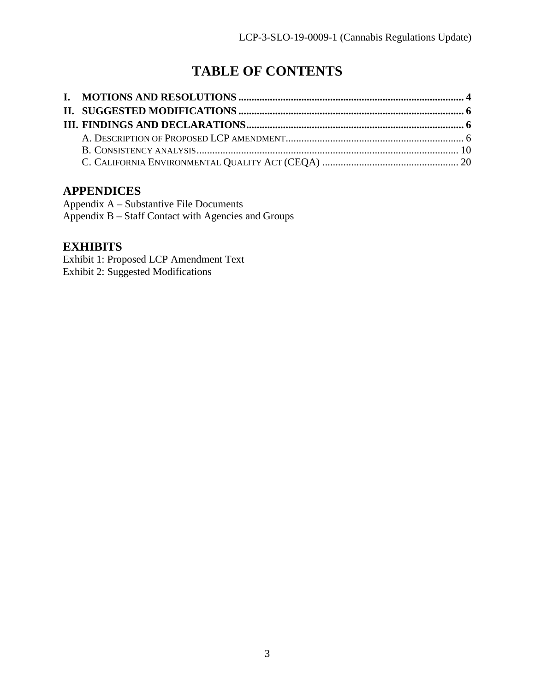# **TABLE OF CONTENTS**

### **APPENDICES**

Appendix A – Substantive File Documents Appendix B – Staff Contact with Agencies and Groups

# **EXHIBITS**

Exhibit 1: Proposed LCP Amendment Text Exhibit 2: Suggested Modifications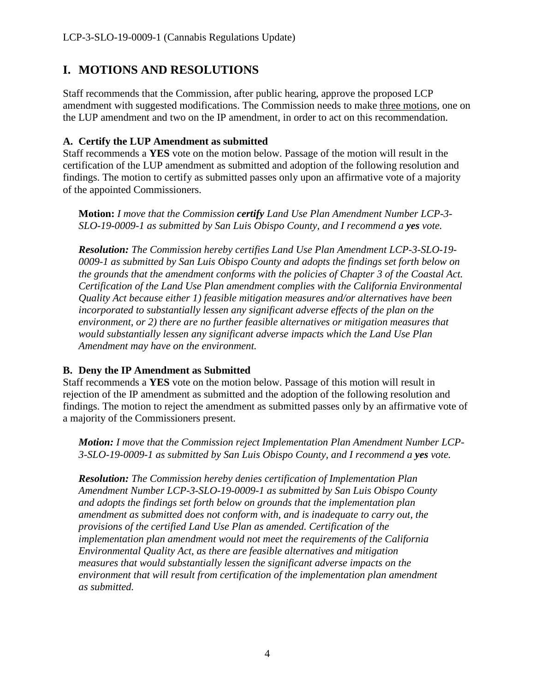# <span id="page-3-0"></span>**I. MOTIONS AND RESOLUTIONS**

Staff recommends that the Commission, after public hearing, approve the proposed LCP amendment with suggested modifications. The Commission needs to make three motions, one on the LUP amendment and two on the IP amendment, in order to act on this recommendation.

#### **A. Certify the LUP Amendment as submitted**

Staff recommends a **YES** vote on the motion below. Passage of the motion will result in the certification of the LUP amendment as submitted and adoption of the following resolution and findings. The motion to certify as submitted passes only upon an affirmative vote of a majority of the appointed Commissioners.

**Motion:** *I move that the Commission certify Land Use Plan Amendment Number LCP-3- SLO-19-0009-1 as submitted by San Luis Obispo County, and I recommend a yes vote.* 

*Resolution: The Commission hereby certifies Land Use Plan Amendment LCP-3-SLO-19- 0009-1 as submitted by San Luis Obispo County and adopts the findings set forth below on the grounds that the amendment conforms with the policies of Chapter 3 of the Coastal Act. Certification of the Land Use Plan amendment complies with the California Environmental Quality Act because either 1) feasible mitigation measures and/or alternatives have been incorporated to substantially lessen any significant adverse effects of the plan on the environment, or 2) there are no further feasible alternatives or mitigation measures that would substantially lessen any significant adverse impacts which the Land Use Plan Amendment may have on the environment.* 

### **B. Deny the IP Amendment as Submitted**

Staff recommends a **YES** vote on the motion below. Passage of this motion will result in rejection of the IP amendment as submitted and the adoption of the following resolution and findings. The motion to reject the amendment as submitted passes only by an affirmative vote of a majority of the Commissioners present.

*Motion: I move that the Commission reject Implementation Plan Amendment Number LCP-3-SLO-19-0009-1 as submitted by San Luis Obispo County, and I recommend a yes vote.* 

*Resolution: The Commission hereby denies certification of Implementation Plan Amendment Number LCP-3-SLO-19-0009-1 as submitted by San Luis Obispo County and adopts the findings set forth below on grounds that the implementation plan amendment as submitted does not conform with, and is inadequate to carry out, the provisions of the certified Land Use Plan as amended. Certification of the implementation plan amendment would not meet the requirements of the California Environmental Quality Act, as there are feasible alternatives and mitigation measures that would substantially lessen the significant adverse impacts on the environment that will result from certification of the implementation plan amendment as submitted.*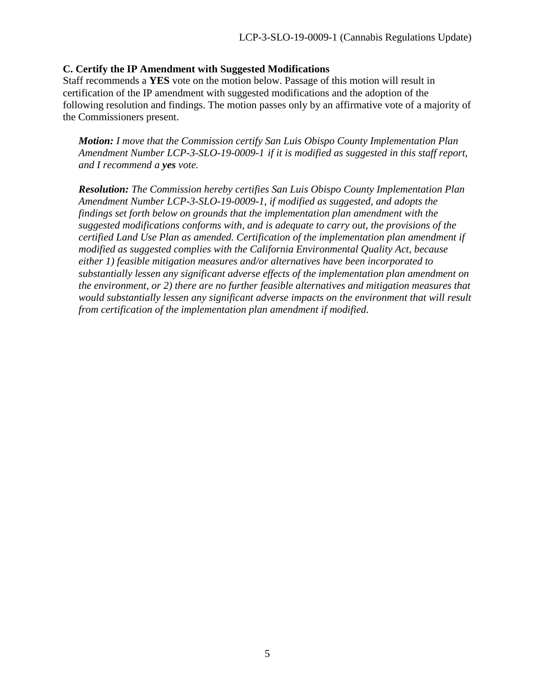#### **C. Certify the IP Amendment with Suggested Modifications**

Staff recommends a **YES** vote on the motion below. Passage of this motion will result in certification of the IP amendment with suggested modifications and the adoption of the following resolution and findings. The motion passes only by an affirmative vote of a majority of the Commissioners present.

*Motion: I move that the Commission certify San Luis Obispo County Implementation Plan Amendment Number LCP-3-SLO-19-0009-1 if it is modified as suggested in this staff report, and I recommend a yes vote.*

<span id="page-4-0"></span>*Resolution: The Commission hereby certifies San Luis Obispo County Implementation Plan Amendment Number LCP-3-SLO-19-0009-1, if modified as suggested, and adopts the findings set forth below on grounds that the implementation plan amendment with the suggested modifications conforms with, and is adequate to carry out, the provisions of the certified Land Use Plan as amended. Certification of the implementation plan amendment if modified as suggested complies with the California Environmental Quality Act, because either 1) feasible mitigation measures and/or alternatives have been incorporated to substantially lessen any significant adverse effects of the implementation plan amendment on the environment, or 2) there are no further feasible alternatives and mitigation measures that*  would substantially lessen any significant adverse impacts on the environment that will result *from certification of the implementation plan amendment if modified.*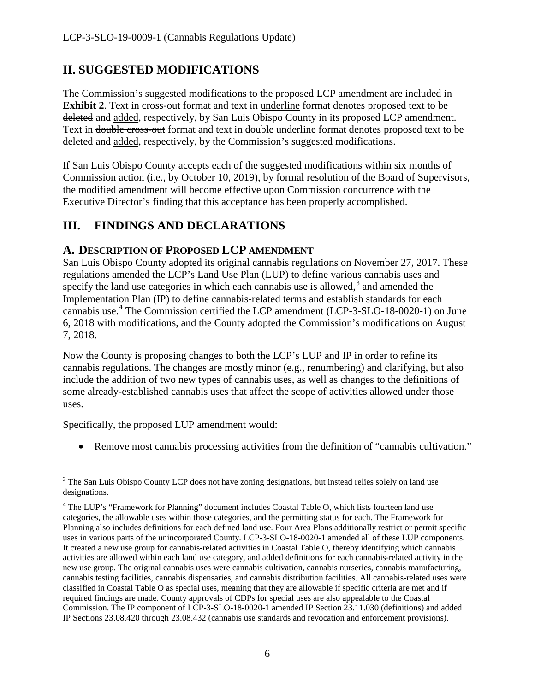# **II. SUGGESTED MODIFICATIONS**

The Commission's suggested modifications to the proposed LCP amendment are included in **Exhibit 2.** Text in cross-out format and text in underline format denotes proposed text to be deleted and added, respectively, by San Luis Obispo County in its proposed LCP amendment. Text in double cross-out format and text in double underline format denotes proposed text to be deleted and added, respectively, by the Commission's suggested modifications.

If San Luis Obispo County accepts each of the suggested modifications within six months of Commission action (i.e., by October 10, 2019), by formal resolution of the Board of Supervisors, the modified amendment will become effective upon Commission concurrence with the Executive Director's finding that this acceptance has been properly accomplished.

# <span id="page-5-0"></span>**III. FINDINGS AND DECLARATIONS**

### <span id="page-5-1"></span>**A. DESCRIPTION OF PROPOSED LCP AMENDMENT**

San Luis Obispo County adopted its original cannabis regulations on November 27, 2017. These regulations amended the LCP's Land Use Plan (LUP) to define various cannabis uses and specify the land use categories in which each cannabis use is allowed, $3$  and amended the Implementation Plan (IP) to define cannabis-related terms and establish standards for each cannabis use.<sup>[4](#page-5-3)</sup> The Commission certified the LCP amendment (LCP-3-SLO-18-0020-1) on June 6, 2018 with modifications, and the County adopted the Commission's modifications on August 7, 2018.

Now the County is proposing changes to both the LCP's LUP and IP in order to refine its cannabis regulations. The changes are mostly minor (e.g., renumbering) and clarifying, but also include the addition of two new types of cannabis uses, as well as changes to the definitions of some already-established cannabis uses that affect the scope of activities allowed under those uses.

Specifically, the proposed LUP amendment would:

• Remove most cannabis processing activities from the definition of "cannabis cultivation."

<span id="page-5-2"></span> $\overline{a}$  $3$  The San Luis Obispo County LCP does not have zoning designations, but instead relies solely on land use designations.

<span id="page-5-3"></span><sup>&</sup>lt;sup>4</sup> The LUP's "Framework for Planning" document includes Coastal Table O, which lists fourteen land use categories, the allowable uses within those categories, and the permitting status for each. The Framework for Planning also includes definitions for each defined land use. Four Area Plans additionally restrict or permit specific uses in various parts of the unincorporated County. LCP-3-SLO-18-0020-1 amended all of these LUP components. It created a new use group for cannabis-related activities in Coastal Table O, thereby identifying which cannabis activities are allowed within each land use category, and added definitions for each cannabis-related activity in the new use group. The original cannabis uses were cannabis cultivation, cannabis nurseries, cannabis manufacturing, cannabis testing facilities, cannabis dispensaries, and cannabis distribution facilities. All cannabis-related uses were classified in Coastal Table O as special uses, meaning that they are allowable if specific criteria are met and if required findings are made. County approvals of CDPs for special uses are also appealable to the Coastal Commission. The IP component of LCP-3-SLO-18-0020-1 amended IP Section 23.11.030 (definitions) and added IP Sections 23.08.420 through 23.08.432 (cannabis use standards and revocation and enforcement provisions).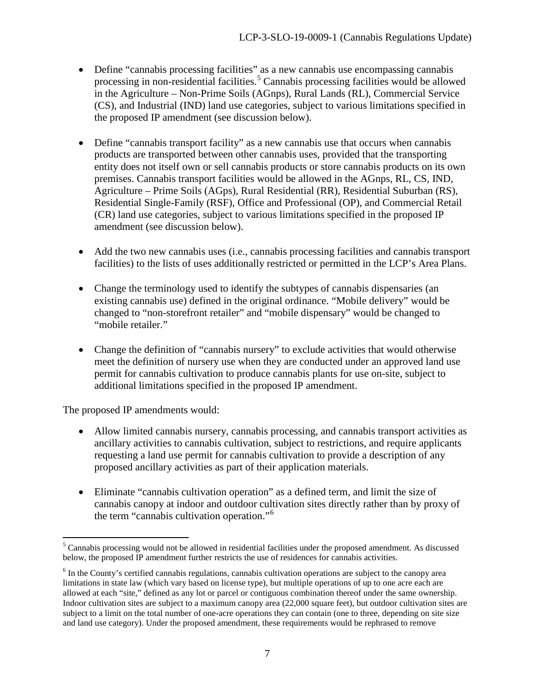- Define "cannabis processing facilities" as a new cannabis use encompassing cannabis processing in non-residential facilities.<sup>[5](#page-6-0)</sup> Cannabis processing facilities would be allowed in the Agriculture – Non-Prime Soils (AGnps), Rural Lands (RL), Commercial Service (CS), and Industrial (IND) land use categories, subject to various limitations specified in the proposed IP amendment (see discussion below).
- Define "cannabis transport facility" as a new cannabis use that occurs when cannabis products are transported between other cannabis uses, provided that the transporting entity does not itself own or sell cannabis products or store cannabis products on its own premises. Cannabis transport facilities would be allowed in the AGnps, RL, CS, IND, Agriculture – Prime Soils (AGps), Rural Residential (RR), Residential Suburban (RS), Residential Single-Family (RSF), Office and Professional (OP), and Commercial Retail (CR) land use categories, subject to various limitations specified in the proposed IP amendment (see discussion below).
- Add the two new cannabis uses (i.e., cannabis processing facilities and cannabis transport facilities) to the lists of uses additionally restricted or permitted in the LCP's Area Plans.
- Change the terminology used to identify the subtypes of cannabis dispensaries (an existing cannabis use) defined in the original ordinance. "Mobile delivery" would be changed to "non-storefront retailer" and "mobile dispensary" would be changed to "mobile retailer."
- Change the definition of "cannabis nursery" to exclude activities that would otherwise meet the definition of nursery use when they are conducted under an approved land use permit for cannabis cultivation to produce cannabis plants for use on-site, subject to additional limitations specified in the proposed IP amendment.

The proposed IP amendments would:

- Allow limited cannabis nursery, cannabis processing, and cannabis transport activities as ancillary activities to cannabis cultivation, subject to restrictions, and require applicants requesting a land use permit for cannabis cultivation to provide a description of any proposed ancillary activities as part of their application materials.
- Eliminate "cannabis cultivation operation" as a defined term, and limit the size of cannabis canopy at indoor and outdoor cultivation sites directly rather than by proxy of the term "cannabis cultivation operation."[6](#page-6-1)

<span id="page-6-0"></span> $\overline{a}$  $5$  Cannabis processing would not be allowed in residential facilities under the proposed amendment. As discussed below, the proposed IP amendment further restricts the use of residences for cannabis activities.

<span id="page-6-1"></span><sup>&</sup>lt;sup>6</sup> In the County's certified cannabis regulations, cannabis cultivation operations are subject to the canopy area limitations in state law (which vary based on license type), but multiple operations of up to one acre each are allowed at each "site," defined as any lot or parcel or contiguous combination thereof under the same ownership. Indoor cultivation sites are subject to a maximum canopy area (22,000 square feet), but outdoor cultivation sites are subject to a limit on the total number of one-acre operations they can contain (one to three, depending on site size and land use category). Under the proposed amendment, these requirements would be rephrased to remove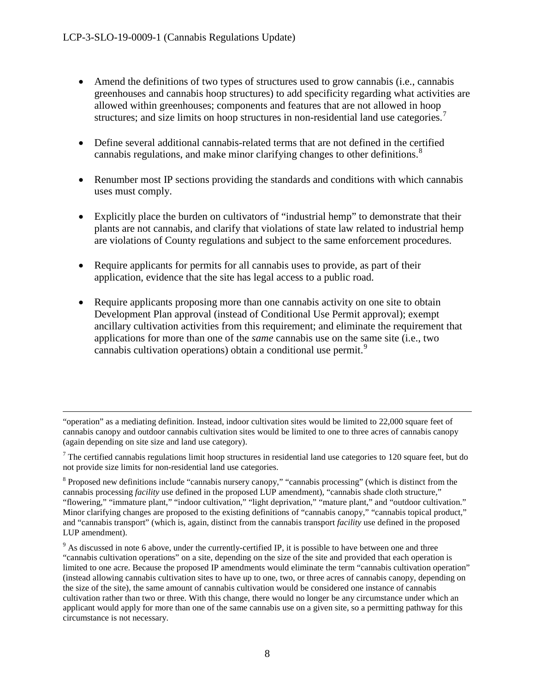$\overline{a}$ 

- Amend the definitions of two types of structures used to grow cannabis (i.e., cannabis greenhouses and cannabis hoop structures) to add specificity regarding what activities are allowed within greenhouses; components and features that are not allowed in hoop structures; and size limits on hoop structures in non-residential land use categories.<sup>[7](#page-7-0)</sup>
- Define several additional cannabis-related terms that are not defined in the certified cannabis regulations, and make minor clarifying changes to other definitions.<sup>[8](#page-7-1)</sup>
- Renumber most IP sections providing the standards and conditions with which cannabis uses must comply.
- Explicitly place the burden on cultivators of "industrial hemp" to demonstrate that their plants are not cannabis, and clarify that violations of state law related to industrial hemp are violations of County regulations and subject to the same enforcement procedures.
- Require applicants for permits for all cannabis uses to provide, as part of their application, evidence that the site has legal access to a public road.
- Require applicants proposing more than one cannabis activity on one site to obtain Development Plan approval (instead of Conditional Use Permit approval); exempt ancillary cultivation activities from this requirement; and eliminate the requirement that applications for more than one of the *same* cannabis use on the same site (i.e., two cannabis cultivation operations) obtain a conditional use permit.<sup>[9](#page-7-2)</sup>

<sup>&</sup>quot;operation" as a mediating definition. Instead, indoor cultivation sites would be limited to 22,000 square feet of cannabis canopy and outdoor cannabis cultivation sites would be limited to one to three acres of cannabis canopy (again depending on site size and land use category).

<span id="page-7-0"></span> $<sup>7</sup>$  The certified cannabis regulations limit hoop structures in residential land use categories to 120 square feet, but do</sup> not provide size limits for non-residential land use categories.

<span id="page-7-1"></span><sup>&</sup>lt;sup>8</sup> Proposed new definitions include "cannabis nursery canopy," "cannabis processing" (which is distinct from the cannabis processing *facility* use defined in the proposed LUP amendment), "cannabis shade cloth structure," "flowering," "immature plant," "indoor cultivation," "light deprivation," "mature plant," and "outdoor cultivation." Minor clarifying changes are proposed to the existing definitions of "cannabis canopy," "cannabis topical product," and "cannabis transport" (which is, again, distinct from the cannabis transport *facility* use defined in the proposed LUP amendment).

<span id="page-7-2"></span><sup>&</sup>lt;sup>9</sup> As discussed in note 6 above, under the currently-certified IP, it is possible to have between one and three "cannabis cultivation operations" on a site, depending on the size of the site and provided that each operation is limited to one acre. Because the proposed IP amendments would eliminate the term "cannabis cultivation operation" (instead allowing cannabis cultivation sites to have up to one, two, or three acres of cannabis canopy, depending on the size of the site), the same amount of cannabis cultivation would be considered one instance of cannabis cultivation rather than two or three. With this change, there would no longer be any circumstance under which an applicant would apply for more than one of the same cannabis use on a given site, so a permitting pathway for this circumstance is not necessary.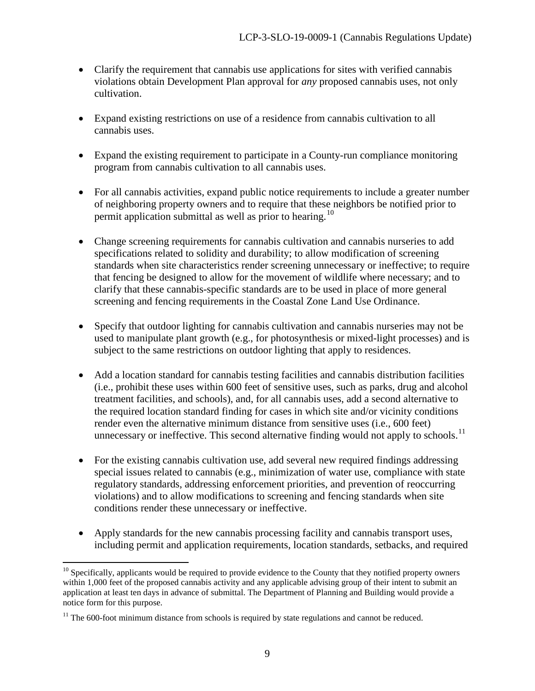- Clarify the requirement that cannabis use applications for sites with verified cannabis violations obtain Development Plan approval for *any* proposed cannabis uses, not only cultivation.
- Expand existing restrictions on use of a residence from cannabis cultivation to all cannabis uses.
- Expand the existing requirement to participate in a County-run compliance monitoring program from cannabis cultivation to all cannabis uses.
- For all cannabis activities, expand public notice requirements to include a greater number of neighboring property owners and to require that these neighbors be notified prior to permit application submittal as well as prior to hearing.<sup>[10](#page-8-0)</sup>
- Change screening requirements for cannabis cultivation and cannabis nurseries to add specifications related to solidity and durability; to allow modification of screening standards when site characteristics render screening unnecessary or ineffective; to require that fencing be designed to allow for the movement of wildlife where necessary; and to clarify that these cannabis-specific standards are to be used in place of more general screening and fencing requirements in the Coastal Zone Land Use Ordinance.
- Specify that outdoor lighting for cannabis cultivation and cannabis nurseries may not be used to manipulate plant growth (e.g., for photosynthesis or mixed-light processes) and is subject to the same restrictions on outdoor lighting that apply to residences.
- Add a location standard for cannabis testing facilities and cannabis distribution facilities (i.e., prohibit these uses within 600 feet of sensitive uses, such as parks, drug and alcohol treatment facilities, and schools), and, for all cannabis uses, add a second alternative to the required location standard finding for cases in which site and/or vicinity conditions render even the alternative minimum distance from sensitive uses (i.e., 600 feet) unnecessary or ineffective. This second alternative finding would not apply to schools.<sup>[11](#page-8-1)</sup>
- For the existing cannabis cultivation use, add several new required findings addressing special issues related to cannabis (e.g., minimization of water use, compliance with state regulatory standards, addressing enforcement priorities, and prevention of reoccurring violations) and to allow modifications to screening and fencing standards when site conditions render these unnecessary or ineffective.
- Apply standards for the new cannabis processing facility and cannabis transport uses, including permit and application requirements, location standards, setbacks, and required

<span id="page-8-0"></span> $\overline{a}$  $10$  Specifically, applicants would be required to provide evidence to the County that they notified property owners within 1,000 feet of the proposed cannabis activity and any applicable advising group of their intent to submit an application at least ten days in advance of submittal. The Department of Planning and Building would provide a notice form for this purpose.

<span id="page-8-1"></span> $11$  The 600-foot minimum distance from schools is required by state regulations and cannot be reduced.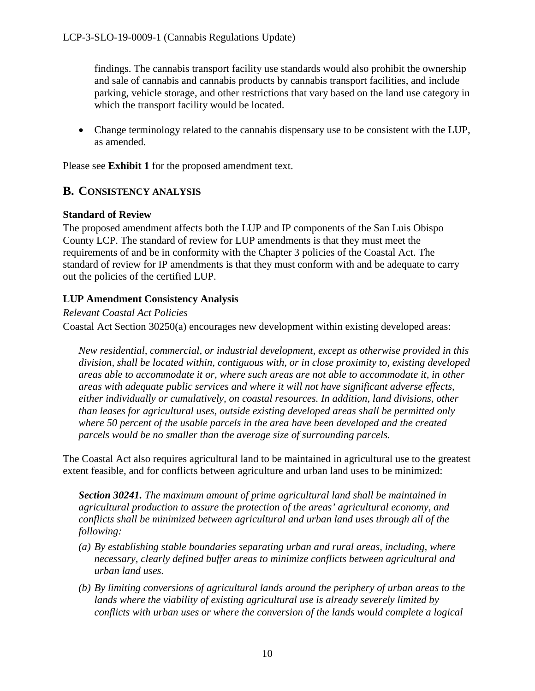findings. The cannabis transport facility use standards would also prohibit the ownership and sale of cannabis and cannabis products by cannabis transport facilities, and include parking, vehicle storage, and other restrictions that vary based on the land use category in which the transport facility would be located.

• Change terminology related to the cannabis dispensary use to be consistent with the LUP, as amended.

Please see **Exhibit 1** for the proposed amendment text.

### <span id="page-9-0"></span>**B. CONSISTENCY ANALYSIS**

#### **Standard of Review**

The proposed amendment affects both the LUP and IP components of the San Luis Obispo County LCP. The standard of review for LUP amendments is that they must meet the requirements of and be in conformity with the Chapter 3 policies of the Coastal Act. The standard of review for IP amendments is that they must conform with and be adequate to carry out the policies of the certified LUP.

#### **LUP Amendment Consistency Analysis**

#### *Relevant Coastal Act Policies*

Coastal Act Section 30250(a) encourages new development within existing developed areas:

*New residential, commercial, or industrial development, except as otherwise provided in this division, shall be located within, contiguous with, or in close proximity to, existing developed areas able to accommodate it or, where such areas are not able to accommodate it, in other areas with adequate public services and where it will not have significant adverse effects, either individually or cumulatively, on coastal resources. In addition, land divisions, other than leases for agricultural uses, outside existing developed areas shall be permitted only where 50 percent of the usable parcels in the area have been developed and the created parcels would be no smaller than the average size of surrounding parcels.* 

The Coastal Act also requires agricultural land to be maintained in agricultural use to the greatest extent feasible, and for conflicts between agriculture and urban land uses to be minimized:

*Section 30241. The maximum amount of prime agricultural land shall be maintained in agricultural production to assure the protection of the areas' agricultural economy, and conflicts shall be minimized between agricultural and urban land uses through all of the following:* 

- *(a) By establishing stable boundaries separating urban and rural areas, including, where necessary, clearly defined buffer areas to minimize conflicts between agricultural and urban land uses.*
- *(b) By limiting conversions of agricultural lands around the periphery of urban areas to the lands where the viability of existing agricultural use is already severely limited by conflicts with urban uses or where the conversion of the lands would complete a logical*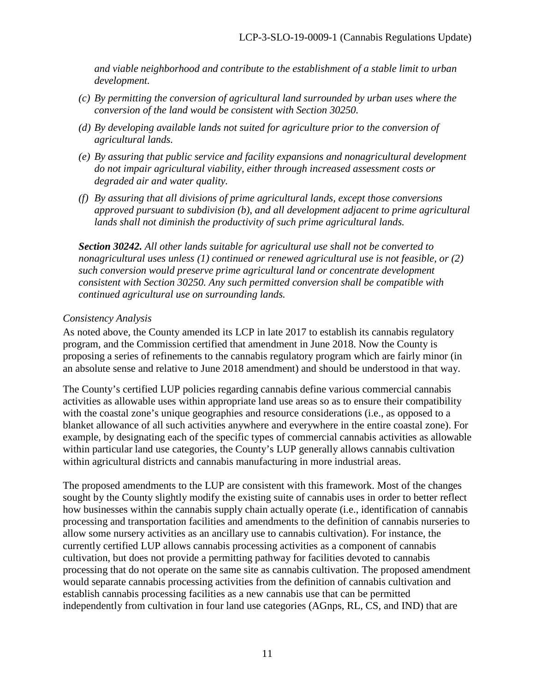*and viable neighborhood and contribute to the establishment of a stable limit to urban development.* 

- *(c) By permitting the conversion of agricultural land surrounded by urban uses where the conversion of the land would be consistent with Section 30250.*
- *(d) By developing available lands not suited for agriculture prior to the conversion of agricultural lands.*
- *(e) By assuring that public service and facility expansions and nonagricultural development do not impair agricultural viability, either through increased assessment costs or degraded air and water quality.*
- *(f) By assuring that all divisions of prime agricultural lands, except those conversions approved pursuant to subdivision (b), and all development adjacent to prime agricultural lands shall not diminish the productivity of such prime agricultural lands.*

*Section 30242. All other lands suitable for agricultural use shall not be converted to nonagricultural uses unless (1) continued or renewed agricultural use is not feasible, or (2) such conversion would preserve prime agricultural land or concentrate development consistent with Section 30250. Any such permitted conversion shall be compatible with continued agricultural use on surrounding lands.* 

#### *Consistency Analysis*

As noted above, the County amended its LCP in late 2017 to establish its cannabis regulatory program, and the Commission certified that amendment in June 2018. Now the County is proposing a series of refinements to the cannabis regulatory program which are fairly minor (in an absolute sense and relative to June 2018 amendment) and should be understood in that way.

The County's certified LUP policies regarding cannabis define various commercial cannabis activities as allowable uses within appropriate land use areas so as to ensure their compatibility with the coastal zone's unique geographies and resource considerations (i.e., as opposed to a blanket allowance of all such activities anywhere and everywhere in the entire coastal zone). For example, by designating each of the specific types of commercial cannabis activities as allowable within particular land use categories, the County's LUP generally allows cannabis cultivation within agricultural districts and cannabis manufacturing in more industrial areas.

The proposed amendments to the LUP are consistent with this framework. Most of the changes sought by the County slightly modify the existing suite of cannabis uses in order to better reflect how businesses within the cannabis supply chain actually operate (i.e., identification of cannabis processing and transportation facilities and amendments to the definition of cannabis nurseries to allow some nursery activities as an ancillary use to cannabis cultivation). For instance, the currently certified LUP allows cannabis processing activities as a component of cannabis cultivation, but does not provide a permitting pathway for facilities devoted to cannabis processing that do not operate on the same site as cannabis cultivation. The proposed amendment would separate cannabis processing activities from the definition of cannabis cultivation and establish cannabis processing facilities as a new cannabis use that can be permitted independently from cultivation in four land use categories (AGnps, RL, CS, and IND) that are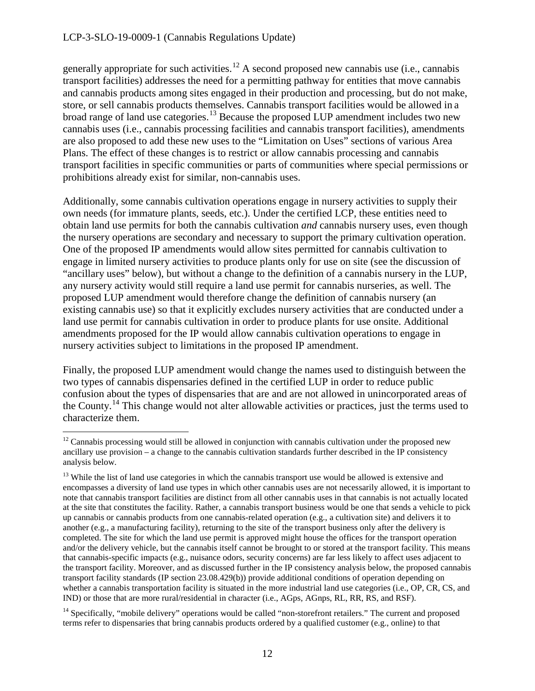generally appropriate for such activities.<sup>[12](#page-11-0)</sup> A second proposed new cannabis use (i.e., cannabis transport facilities) addresses the need for a permitting pathway for entities that move cannabis and cannabis products among sites engaged in their production and processing, but do not make, store, or sell cannabis products themselves. Cannabis transport facilities would be allowed in a broad range of land use categories.<sup>13</sup> Because the proposed LUP amendment includes two new cannabis uses (i.e., cannabis processing facilities and cannabis transport facilities), amendments are also proposed to add these new uses to the "Limitation on Uses" sections of various Area Plans. The effect of these changes is to restrict or allow cannabis processing and cannabis transport facilities in specific communities or parts of communities where special permissions or prohibitions already exist for similar, non-cannabis uses.

Additionally, some cannabis cultivation operations engage in nursery activities to supply their own needs (for immature plants, seeds, etc.). Under the certified LCP, these entities need to obtain land use permits for both the cannabis cultivation *and* cannabis nursery uses, even though the nursery operations are secondary and necessary to support the primary cultivation operation. One of the proposed IP amendments would allow sites permitted for cannabis cultivation to engage in limited nursery activities to produce plants only for use on site (see the discussion of "ancillary uses" below), but without a change to the definition of a cannabis nursery in the LUP, any nursery activity would still require a land use permit for cannabis nurseries, as well. The proposed LUP amendment would therefore change the definition of cannabis nursery (an existing cannabis use) so that it explicitly excludes nursery activities that are conducted under a land use permit for cannabis cultivation in order to produce plants for use onsite. Additional amendments proposed for the IP would allow cannabis cultivation operations to engage in nursery activities subject to limitations in the proposed IP amendment.

Finally, the proposed LUP amendment would change the names used to distinguish between the two types of cannabis dispensaries defined in the certified LUP in order to reduce public confusion about the types of dispensaries that are and are not allowed in unincorporated areas of the County.[14](#page-11-2) This change would not alter allowable activities or practices, just the terms used to characterize them.

<span id="page-11-2"></span><sup>14</sup> Specifically, "mobile delivery" operations would be called "non-storefront retailers." The current and proposed terms refer to dispensaries that bring cannabis products ordered by a qualified customer (e.g., online) to that

<span id="page-11-0"></span> $\overline{a}$  $12$  Cannabis processing would still be allowed in conjunction with cannabis cultivation under the proposed new ancillary use provision – a change to the cannabis cultivation standards further described in the IP consistency analysis below.

<span id="page-11-1"></span><sup>&</sup>lt;sup>13</sup> While the list of land use categories in which the cannabis transport use would be allowed is extensive and encompasses a diversity of land use types in which other cannabis uses are not necessarily allowed, it is important to note that cannabis transport facilities are distinct from all other cannabis uses in that cannabis is not actually located at the site that constitutes the facility. Rather, a cannabis transport business would be one that sends a vehicle to pick up cannabis or cannabis products from one cannabis-related operation (e.g., a cultivation site) and delivers it to another (e.g., a manufacturing facility), returning to the site of the transport business only after the delivery is completed. The site for which the land use permit is approved might house the offices for the transport operation and/or the delivery vehicle, but the cannabis itself cannot be brought to or stored at the transport facility. This means that cannabis-specific impacts (e.g., nuisance odors, security concerns) are far less likely to affect uses adjacent to the transport facility. Moreover, and as discussed further in the IP consistency analysis below, the proposed cannabis transport facility standards (IP section 23.08.429(b)) provide additional conditions of operation depending on whether a cannabis transportation facility is situated in the more industrial land use categories (i.e., OP, CR, CS, and IND) or those that are more rural/residential in character (i.e., AGps, AGnps, RL, RR, RS, and RSF).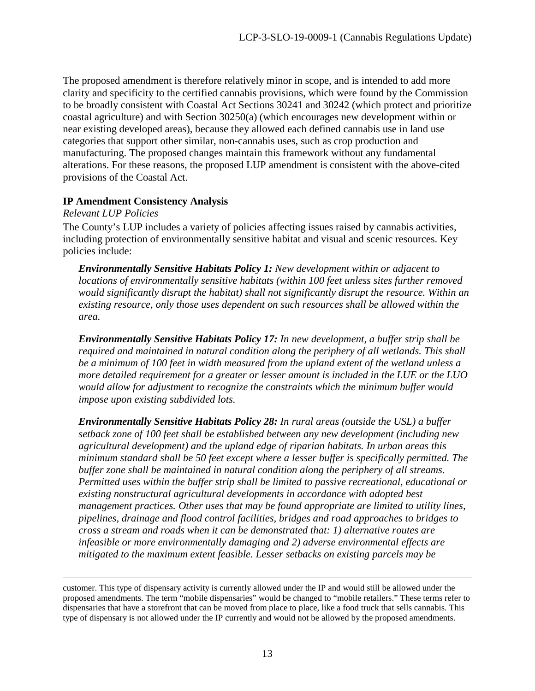The proposed amendment is therefore relatively minor in scope, and is intended to add more clarity and specificity to the certified cannabis provisions, which were found by the Commission to be broadly consistent with Coastal Act Sections 30241 and 30242 (which protect and prioritize coastal agriculture) and with Section 30250(a) (which encourages new development within or near existing developed areas), because they allowed each defined cannabis use in land use categories that support other similar, non-cannabis uses, such as crop production and manufacturing. The proposed changes maintain this framework without any fundamental alterations. For these reasons, the proposed LUP amendment is consistent with the above-cited provisions of the Coastal Act.

#### **IP Amendment Consistency Analysis**

*Relevant LUP Policies*

 $\overline{a}$ 

The County's LUP includes a variety of policies affecting issues raised by cannabis activities, including protection of environmentally sensitive habitat and visual and scenic resources. Key policies include:

*Environmentally Sensitive Habitats Policy 1: New development within or adjacent to locations of environmentally sensitive habitats (within 100 feet unless sites further removed would significantly disrupt the habitat) shall not significantly disrupt the resource. Within an existing resource, only those uses dependent on such resources shall be allowed within the area.*

*Environmentally Sensitive Habitats Policy 17: In new development, a buffer strip shall be required and maintained in natural condition along the periphery of all wetlands. This shall be a minimum of 100 feet in width measured from the upland extent of the wetland unless a more detailed requirement for a greater or lesser amount is included in the LUE or the LUO would allow for adjustment to recognize the constraints which the minimum buffer would impose upon existing subdivided lots.* 

*Environmentally Sensitive Habitats Policy 28: In rural areas (outside the USL) a buffer setback zone of 100 feet shall be established between any new development (including new agricultural development) and the upland edge of riparian habitats. In urban areas this minimum standard shall be 50 feet except where a lesser buffer is specifically permitted. The buffer zone shall be maintained in natural condition along the periphery of all streams. Permitted uses within the buffer strip shall be limited to passive recreational, educational or existing nonstructural agricultural developments in accordance with adopted best management practices. Other uses that may be found appropriate are limited to utility lines, pipelines, drainage and flood control facilities, bridges and road approaches to bridges to cross a stream and roads when it can be demonstrated that: 1) alternative routes are infeasible or more environmentally damaging and 2) adverse environmental effects are mitigated to the maximum extent feasible. Lesser setbacks on existing parcels may be* 

customer. This type of dispensary activity is currently allowed under the IP and would still be allowed under the proposed amendments. The term "mobile dispensaries" would be changed to "mobile retailers." These terms refer to dispensaries that have a storefront that can be moved from place to place, like a food truck that sells cannabis. This type of dispensary is not allowed under the IP currently and would not be allowed by the proposed amendments.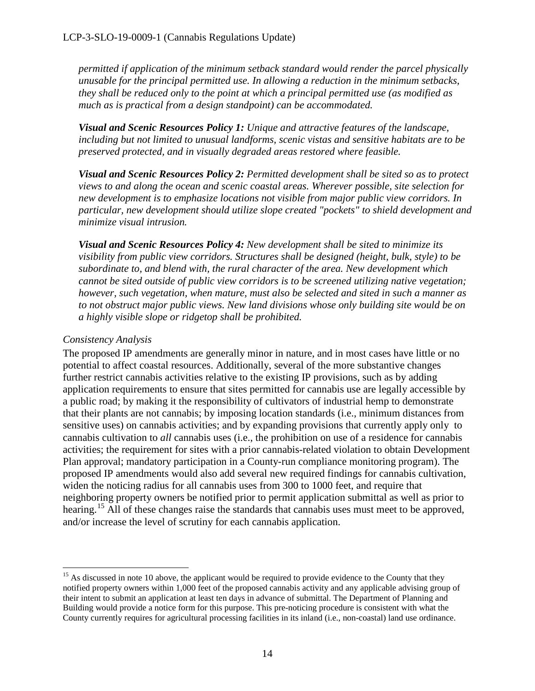*permitted if application of the minimum setback standard would render the parcel physically unusable for the principal permitted use. In allowing a reduction in the minimum setbacks, they shall be reduced only to the point at which a principal permitted use (as modified as much as is practical from a design standpoint) can be accommodated.* 

*Visual and Scenic Resources Policy 1: Unique and attractive features of the landscape, including but not limited to unusual landforms, scenic vistas and sensitive habitats are to be preserved protected, and in visually degraded areas restored where feasible.* 

*Visual and Scenic Resources Policy 2: Permitted development shall be sited so as to protect views to and along the ocean and scenic coastal areas. Wherever possible, site selection for new development is to emphasize locations not visible from major public view corridors. In particular, new development should utilize slope created "pockets" to shield development and minimize visual intrusion.*

*Visual and Scenic Resources Policy 4: New development shall be sited to minimize its visibility from public view corridors. Structures shall be designed (height, bulk, style) to be subordinate to, and blend with, the rural character of the area. New development which cannot be sited outside of public view corridors is to be screened utilizing native vegetation; however, such vegetation, when mature, must also be selected and sited in such a manner as to not obstruct major public views. New land divisions whose only building site would be on a highly visible slope or ridgetop shall be prohibited.* 

#### *Consistency Analysis*

The proposed IP amendments are generally minor in nature, and in most cases have little or no potential to affect coastal resources. Additionally, several of the more substantive changes further restrict cannabis activities relative to the existing IP provisions, such as by adding application requirements to ensure that sites permitted for cannabis use are legally accessible by a public road; by making it the responsibility of cultivators of industrial hemp to demonstrate that their plants are not cannabis; by imposing location standards (i.e., minimum distances from sensitive uses) on cannabis activities; and by expanding provisions that currently apply only to cannabis cultivation to *all* cannabis uses (i.e., the prohibition on use of a residence for cannabis activities; the requirement for sites with a prior cannabis-related violation to obtain Development Plan approval; mandatory participation in a County-run compliance monitoring program). The proposed IP amendments would also add several new required findings for cannabis cultivation, widen the noticing radius for all cannabis uses from 300 to 1000 feet, and require that neighboring property owners be notified prior to permit application submittal as well as prior to hearing.<sup>15</sup> All of these changes raise the standards that cannabis uses must meet to be approved, and/or increase the level of scrutiny for each cannabis application.

<span id="page-13-0"></span> $\overline{a}$ <sup>15</sup> As discussed in note 10 above, the applicant would be required to provide evidence to the County that they notified property owners within 1,000 feet of the proposed cannabis activity and any applicable advising group of their intent to submit an application at least ten days in advance of submittal. The Department of Planning and Building would provide a notice form for this purpose. This pre-noticing procedure is consistent with what the County currently requires for agricultural processing facilities in its inland (i.e., non-coastal) land use ordinance.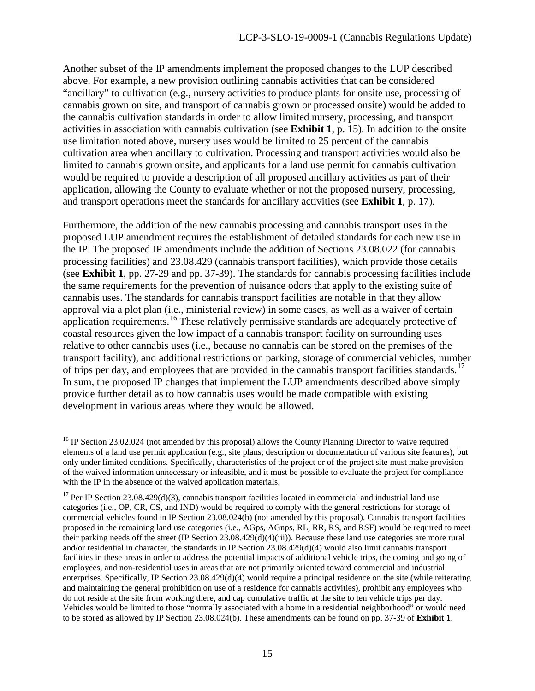Another subset of the IP amendments implement the proposed changes to the LUP described above. For example, a new provision outlining cannabis activities that can be considered "ancillary" to cultivation (e.g., nursery activities to produce plants for onsite use, processing of cannabis grown on site, and transport of cannabis grown or processed onsite) would be added to the cannabis cultivation standards in order to allow limited nursery, processing, and transport activities in association with cannabis cultivation (see **Exhibit 1**, p. 15). In addition to the onsite use limitation noted above, nursery uses would be limited to 25 percent of the cannabis cultivation area when ancillary to cultivation. Processing and transport activities would also be limited to cannabis grown onsite, and applicants for a land use permit for cannabis cultivation would be required to provide a description of all proposed ancillary activities as part of their application, allowing the County to evaluate whether or not the proposed nursery, processing, and transport operations meet the standards for ancillary activities (see **Exhibit 1**, p. 17).

Furthermore, the addition of the new cannabis processing and cannabis transport uses in the proposed LUP amendment requires the establishment of detailed standards for each new use in the IP. The proposed IP amendments include the addition of Sections 23.08.022 (for cannabis processing facilities) and 23.08.429 (cannabis transport facilities), which provide those details (see **Exhibit 1**, pp. 27-29 and pp. 37-39). The standards for cannabis processing facilities include the same requirements for the prevention of nuisance odors that apply to the existing suite of cannabis uses. The standards for cannabis transport facilities are notable in that they allow approval via a plot plan (i.e., ministerial review) in some cases, as well as a waiver of certain application requirements.<sup>[16](#page-14-0)</sup> These relatively permissive standards are adequately protective of coastal resources given the low impact of a cannabis transport facility on surrounding uses relative to other cannabis uses (i.e., because no cannabis can be stored on the premises of the transport facility), and additional restrictions on parking, storage of commercial vehicles, number of trips per day, and employees that are provided in the cannabis transport facilities standards.<sup>17</sup> In sum, the proposed IP changes that implement the LUP amendments described above simply provide further detail as to how cannabis uses would be made compatible with existing development in various areas where they would be allowed.

<span id="page-14-0"></span> $\overline{a}$ <sup>16</sup> IP Section 23.02.024 (not amended by this proposal) allows the County Planning Director to waive required elements of a land use permit application (e.g., site plans; description or documentation of various site features), but only under limited conditions. Specifically, characteristics of the project or of the project site must make provision of the waived information unnecessary or infeasible, and it must be possible to evaluate the project for compliance with the IP in the absence of the waived application materials.

<span id="page-14-1"></span> $17$  Per IP Section 23.08.429(d)(3), cannabis transport facilities located in commercial and industrial land use categories (i.e., OP, CR, CS, and IND) would be required to comply with the general restrictions for storage of commercial vehicles found in IP Section 23.08.024(b) (not amended by this proposal). Cannabis transport facilities proposed in the remaining land use categories (i.e., AGps, AGnps, RL, RR, RS, and RSF) would be required to meet their parking needs off the street (IP Section 23.08.429(d)(4)(iii)). Because these land use categories are more rural and/or residential in character, the standards in IP Section 23.08.429(d)(4) would also limit cannabis transport facilities in these areas in order to address the potential impacts of additional vehicle trips, the coming and going of employees, and non-residential uses in areas that are not primarily oriented toward commercial and industrial enterprises. Specifically, IP Section 23.08.429(d)(4) would require a principal residence on the site (while reiterating and maintaining the general prohibition on use of a residence for cannabis activities), prohibit any employees who do not reside at the site from working there, and cap cumulative traffic at the site to ten vehicle trips per day. Vehicles would be limited to those "normally associated with a home in a residential neighborhood" or would need to be stored as allowed by IP Section 23.08.024(b). These amendments can be found on pp. 37-39 of **Exhibit 1**.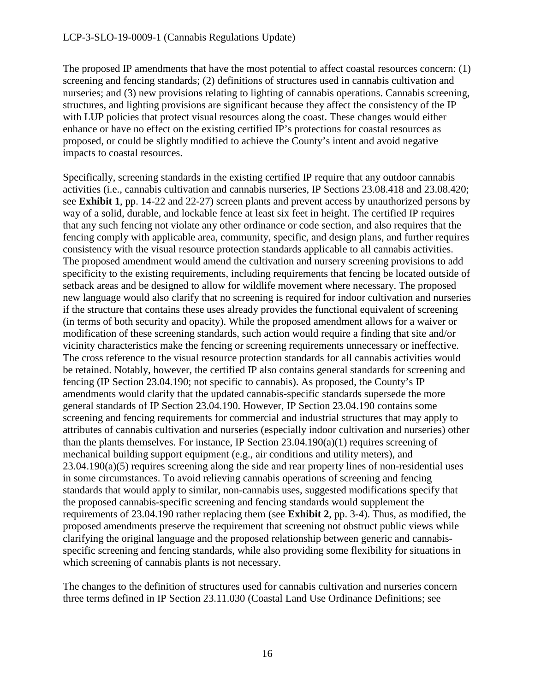The proposed IP amendments that have the most potential to affect coastal resources concern: (1) screening and fencing standards; (2) definitions of structures used in cannabis cultivation and nurseries; and (3) new provisions relating to lighting of cannabis operations. Cannabis screening, structures, and lighting provisions are significant because they affect the consistency of the IP with LUP policies that protect visual resources along the coast. These changes would either enhance or have no effect on the existing certified IP's protections for coastal resources as proposed, or could be slightly modified to achieve the County's intent and avoid negative impacts to coastal resources.

Specifically, screening standards in the existing certified IP require that any outdoor cannabis activities (i.e., cannabis cultivation and cannabis nurseries, IP Sections 23.08.418 and 23.08.420; see **Exhibit 1**, pp. 14-22 and 22-27) screen plants and prevent access by unauthorized persons by way of a solid, durable, and lockable fence at least six feet in height. The certified IP requires that any such fencing not violate any other ordinance or code section, and also requires that the fencing comply with applicable area, community, specific, and design plans, and further requires consistency with the visual resource protection standards applicable to all cannabis activities. The proposed amendment would amend the cultivation and nursery screening provisions to add specificity to the existing requirements, including requirements that fencing be located outside of setback areas and be designed to allow for wildlife movement where necessary. The proposed new language would also clarify that no screening is required for indoor cultivation and nurseries if the structure that contains these uses already provides the functional equivalent of screening (in terms of both security and opacity). While the proposed amendment allows for a waiver or modification of these screening standards, such action would require a finding that site and/or vicinity characteristics make the fencing or screening requirements unnecessary or ineffective. The cross reference to the visual resource protection standards for all cannabis activities would be retained. Notably, however, the certified IP also contains general standards for screening and fencing (IP Section 23.04.190; not specific to cannabis). As proposed, the County's IP amendments would clarify that the updated cannabis-specific standards supersede the more general standards of IP Section 23.04.190. However, IP Section 23.04.190 contains some screening and fencing requirements for commercial and industrial structures that may apply to attributes of cannabis cultivation and nurseries (especially indoor cultivation and nurseries) other than the plants themselves. For instance, IP Section 23.04.190(a)(1) requires screening of mechanical building support equipment (e.g., air conditions and utility meters), and  $23.04.190(a)(5)$  requires screening along the side and rear property lines of non-residential uses in some circumstances. To avoid relieving cannabis operations of screening and fencing standards that would apply to similar, non-cannabis uses, suggested modifications specify that the proposed cannabis-specific screening and fencing standards would supplement the requirements of 23.04.190 rather replacing them (see **Exhibit 2**, pp. 3-4). Thus, as modified, the proposed amendments preserve the requirement that screening not obstruct public views while clarifying the original language and the proposed relationship between generic and cannabisspecific screening and fencing standards, while also providing some flexibility for situations in which screening of cannabis plants is not necessary.

The changes to the definition of structures used for cannabis cultivation and nurseries concern three terms defined in IP Section 23.11.030 (Coastal Land Use Ordinance Definitions; see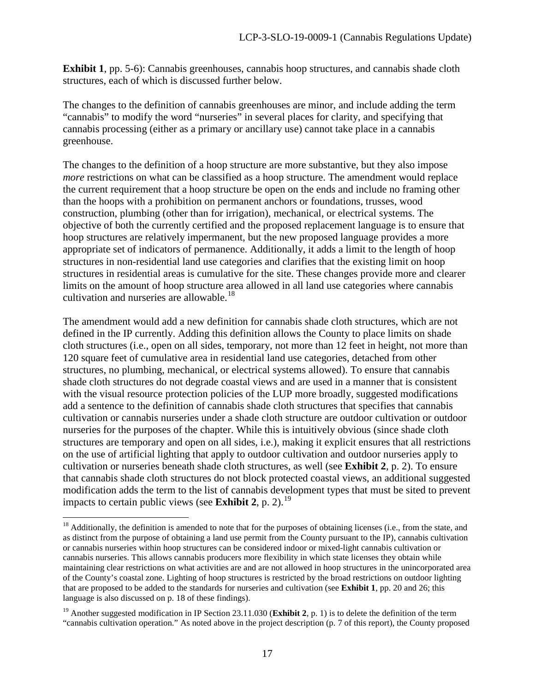**Exhibit 1**, pp. 5-6): Cannabis greenhouses, cannabis hoop structures, and cannabis shade cloth structures, each of which is discussed further below.

The changes to the definition of cannabis greenhouses are minor, and include adding the term "cannabis" to modify the word "nurseries" in several places for clarity, and specifying that cannabis processing (either as a primary or ancillary use) cannot take place in a cannabis greenhouse.

The changes to the definition of a hoop structure are more substantive, but they also impose *more* restrictions on what can be classified as a hoop structure. The amendment would replace the current requirement that a hoop structure be open on the ends and include no framing other than the hoops with a prohibition on permanent anchors or foundations, trusses, wood construction, plumbing (other than for irrigation), mechanical, or electrical systems. The objective of both the currently certified and the proposed replacement language is to ensure that hoop structures are relatively impermanent, but the new proposed language provides a more appropriate set of indicators of permanence. Additionally, it adds a limit to the length of hoop structures in non-residential land use categories and clarifies that the existing limit on hoop structures in residential areas is cumulative for the site. These changes provide more and clearer limits on the amount of hoop structure area allowed in all land use categories where cannabis cultivation and nurseries are allowable.<sup>18</sup>

The amendment would add a new definition for cannabis shade cloth structures, which are not defined in the IP currently. Adding this definition allows the County to place limits on shade cloth structures (i.e., open on all sides, temporary, not more than 12 feet in height, not more than 120 square feet of cumulative area in residential land use categories, detached from other structures, no plumbing, mechanical, or electrical systems allowed). To ensure that cannabis shade cloth structures do not degrade coastal views and are used in a manner that is consistent with the visual resource protection policies of the LUP more broadly, suggested modifications add a sentence to the definition of cannabis shade cloth structures that specifies that cannabis cultivation or cannabis nurseries under a shade cloth structure are outdoor cultivation or outdoor nurseries for the purposes of the chapter. While this is intuitively obvious (since shade cloth structures are temporary and open on all sides, i.e.), making it explicit ensures that all restrictions on the use of artificial lighting that apply to outdoor cultivation and outdoor nurseries apply to cultivation or nurseries beneath shade cloth structures, as well (see **Exhibit 2**, p. 2). To ensure that cannabis shade cloth structures do not block protected coastal views, an additional suggested modification adds the term to the list of cannabis development types that must be sited to prevent impacts to certain public views (see **Exhibit 2**, p. 2).<sup>[19](#page-16-1)</sup>

 $\overline{a}$ 

<span id="page-16-0"></span> $18$  Additionally, the definition is amended to note that for the purposes of obtaining licenses (i.e., from the state, and as distinct from the purpose of obtaining a land use permit from the County pursuant to the IP), cannabis cultivation or cannabis nurseries within hoop structures can be considered indoor or mixed-light cannabis cultivation or cannabis nurseries. This allows cannabis producers more flexibility in which state licenses they obtain while maintaining clear restrictions on what activities are and are not allowed in hoop structures in the unincorporated area of the County's coastal zone. Lighting of hoop structures is restricted by the broad restrictions on outdoor lighting that are proposed to be added to the standards for nurseries and cultivation (see **Exhibit 1**, pp. 20 and 26; this language is also discussed on p. 18 of these findings).

<span id="page-16-1"></span><sup>&</sup>lt;sup>19</sup> Another suggested modification in IP Section 23.11.030 (**Exhibit 2**, p. 1) is to delete the definition of the term "cannabis cultivation operation." As noted above in the project description (p. 7 of this report), the County proposed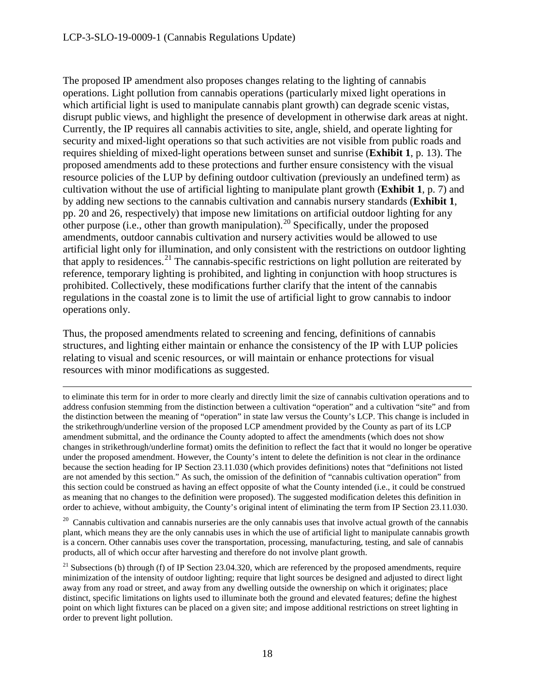$\overline{a}$ 

The proposed IP amendment also proposes changes relating to the lighting of cannabis operations. Light pollution from cannabis operations (particularly mixed light operations in which artificial light is used to manipulate cannabis plant growth) can degrade scenic vistas, disrupt public views, and highlight the presence of development in otherwise dark areas at night. Currently, the IP requires all cannabis activities to site, angle, shield, and operate lighting for security and mixed-light operations so that such activities are not visible from public roads and requires shielding of mixed-light operations between sunset and sunrise (**Exhibit 1**, p. 13). The proposed amendments add to these protections and further ensure consistency with the visual resource policies of the LUP by defining outdoor cultivation (previously an undefined term) as cultivation without the use of artificial lighting to manipulate plant growth (**Exhibit 1**, p. 7) and by adding new sections to the cannabis cultivation and cannabis nursery standards (**Exhibit 1**, pp. 20 and 26, respectively) that impose new limitations on artificial outdoor lighting for any other purpose (i.e., other than growth manipulation).<sup>[20](#page-17-0)</sup> Specifically, under the proposed amendments, outdoor cannabis cultivation and nursery activities would be allowed to use artificial light only for illumination, and only consistent with the restrictions on outdoor lighting that apply to residences.<sup>[21](#page-17-1)</sup> The cannabis-specific restrictions on light pollution are reiterated by reference, temporary lighting is prohibited, and lighting in conjunction with hoop structures is prohibited. Collectively, these modifications further clarify that the intent of the cannabis regulations in the coastal zone is to limit the use of artificial light to grow cannabis to indoor operations only.

Thus, the proposed amendments related to screening and fencing, definitions of cannabis structures, and lighting either maintain or enhance the consistency of the IP with LUP policies relating to visual and scenic resources, or will maintain or enhance protections for visual resources with minor modifications as suggested.

to eliminate this term for in order to more clearly and directly limit the size of cannabis cultivation operations and to address confusion stemming from the distinction between a cultivation "operation" and a cultivation "site" and from the distinction between the meaning of "operation" in state law versus the County's LCP. This change is included in the strikethrough/underline version of the proposed LCP amendment provided by the County as part of its LCP amendment submittal, and the ordinance the County adopted to affect the amendments (which does not show changes in strikethrough/underline format) omits the definition to reflect the fact that it would no longer be operative under the proposed amendment. However, the County's intent to delete the definition is not clear in the ordinance because the section heading for IP Section 23.11.030 (which provides definitions) notes that "definitions not listed are not amended by this section." As such, the omission of the definition of "cannabis cultivation operation" from this section could be construed as having an effect opposite of what the County intended (i.e., it could be construed as meaning that no changes to the definition were proposed). The suggested modification deletes this definition in order to achieve, without ambiguity, the County's original intent of eliminating the term from IP Section 23.11.030.

<span id="page-17-0"></span> $20$  Cannabis cultivation and cannabis nurseries are the only cannabis uses that involve actual growth of the cannabis plant, which means they are the only cannabis uses in which the use of artificial light to manipulate cannabis growth is a concern. Other cannabis uses cover the transportation, processing, manufacturing, testing, and sale of cannabis products, all of which occur after harvesting and therefore do not involve plant growth.

<span id="page-17-1"></span><sup>21</sup> Subsections (b) through (f) of IP Section 23.04.320, which are referenced by the proposed amendments, require minimization of the intensity of outdoor lighting; require that light sources be designed and adjusted to direct light away from any road or street, and away from any dwelling outside the ownership on which it originates; place distinct, specific limitations on lights used to illuminate both the ground and elevated features; define the highest point on which light fixtures can be placed on a given site; and impose additional restrictions on street lighting in order to prevent light pollution.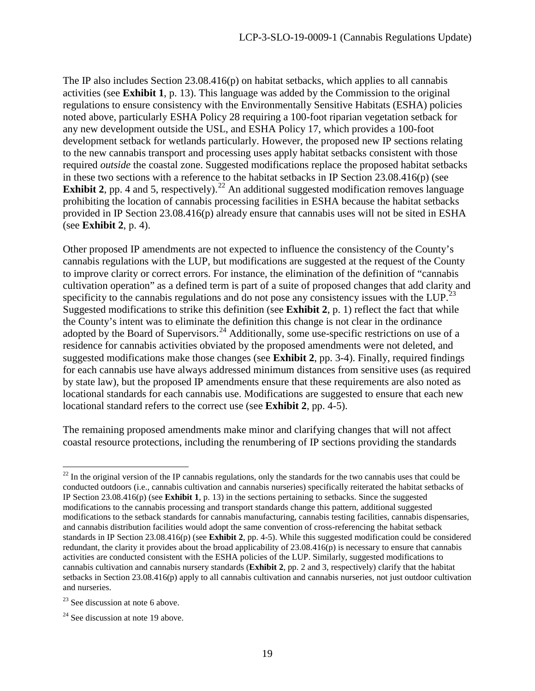The IP also includes Section 23.08.416(p) on habitat setbacks, which applies to all cannabis activities (see **Exhibit 1**, p. 13). This language was added by the Commission to the original regulations to ensure consistency with the Environmentally Sensitive Habitats (ESHA) policies noted above, particularly ESHA Policy 28 requiring a 100-foot riparian vegetation setback for any new development outside the USL, and ESHA Policy 17, which provides a 100-foot development setback for wetlands particularly. However, the proposed new IP sections relating to the new cannabis transport and processing uses apply habitat setbacks consistent with those required *outside* the coastal zone. Suggested modifications replace the proposed habitat setbacks in these two sections with a reference to the habitat setbacks in IP Section  $23.08.416(p)$  (see **Exhibit 2**, pp. 4 and 5, respectively).<sup>[22](#page-18-0)</sup> An additional suggested modification removes language prohibiting the location of cannabis processing facilities in ESHA because the habitat setbacks provided in IP Section 23.08.416(p) already ensure that cannabis uses will not be sited in ESHA (see **Exhibit 2**, p. 4).

Other proposed IP amendments are not expected to influence the consistency of the County's cannabis regulations with the LUP, but modifications are suggested at the request of the County to improve clarity or correct errors. For instance, the elimination of the definition of "cannabis cultivation operation" as a defined term is part of a suite of proposed changes that add clarity and specificity to the cannabis regulations and do not pose any consistency issues with the LUP.<sup>[23](#page-18-1)</sup> Suggested modifications to strike this definition (see **Exhibit 2**, p. 1) reflect the fact that while the County's intent was to eliminate the definition this change is not clear in the ordinance adopted by the Board of Supervisors.<sup>[24](#page-18-2)</sup> Additionally, some use-specific restrictions on use of a residence for cannabis activities obviated by the proposed amendments were not deleted, and suggested modifications make those changes (see **Exhibit 2**, pp. 3-4). Finally, required findings for each cannabis use have always addressed minimum distances from sensitive uses (as required by state law), but the proposed IP amendments ensure that these requirements are also noted as locational standards for each cannabis use. Modifications are suggested to ensure that each new locational standard refers to the correct use (see **Exhibit 2**, pp. 4-5).

The remaining proposed amendments make minor and clarifying changes that will not affect coastal resource protections, including the renumbering of IP sections providing the standards

<span id="page-18-0"></span> $\overline{a}$  $2<sup>22</sup>$  In the original version of the IP cannabis regulations, only the standards for the two cannabis uses that could be conducted outdoors (i.e., cannabis cultivation and cannabis nurseries) specifically reiterated the habitat setbacks of IP Section 23.08.416(p) (see **Exhibit 1**, p. 13) in the sections pertaining to setbacks. Since the suggested modifications to the cannabis processing and transport standards change this pattern, additional suggested modifications to the setback standards for cannabis manufacturing, cannabis testing facilities, cannabis dispensaries, and cannabis distribution facilities would adopt the same convention of cross-referencing the habitat setback standards in IP Section 23.08.416(p) (see **Exhibit 2**, pp. 4-5). While this suggested modification could be considered redundant, the clarity it provides about the broad applicability of 23.08.416(p) is necessary to ensure that cannabis activities are conducted consistent with the ESHA policies of the LUP. Similarly, suggested modifications to cannabis cultivation and cannabis nursery standards (**Exhibit 2**, pp. 2 and 3, respectively) clarify that the habitat setbacks in Section 23.08.416(p) apply to all cannabis cultivation and cannabis nurseries, not just outdoor cultivation and nurseries.

<span id="page-18-1"></span> $23$  See discussion at note 6 above.

<span id="page-18-2"></span> $24$  See discussion at note 19 above.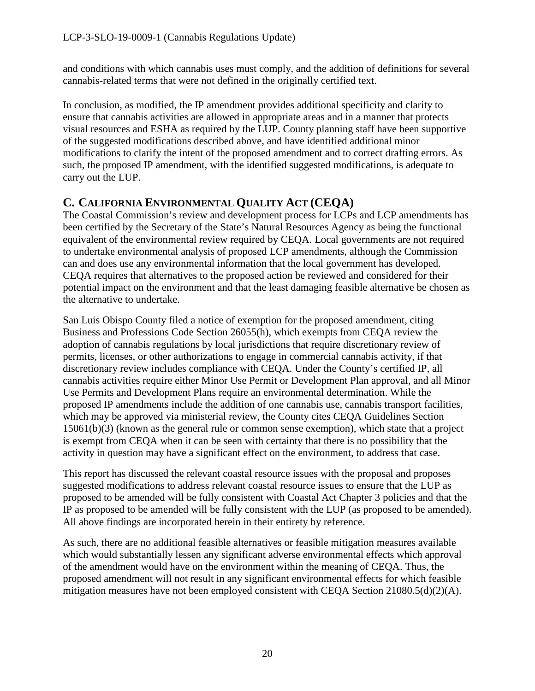and conditions with which cannabis uses must comply, and the addition of definitions for several cannabis-related terms that were not defined in the originally certified text.

In conclusion, as modified, the IP amendment provides additional specificity and clarity to ensure that cannabis activities are allowed in appropriate areas and in a manner that protects visual resources and ESHA as required by the LUP. County planning staff have been supportive of the suggested modifications described above, and have identified additional minor modifications to clarify the intent of the proposed amendment and to correct drafting errors. As such, the proposed IP amendment, with the identified suggested modifications, is adequate to carry out the LUP.

## <span id="page-19-0"></span>**C. CALIFORNIA ENVIRONMENTAL QUALITY ACT (CEQA)**

The Coastal Commission's review and development process for LCPs and LCP amendments has been certified by the Secretary of the State's Natural Resources Agency as being the functional equivalent of the environmental review required by CEQA. Local governments are not required to undertake environmental analysis of proposed LCP amendments, although the Commission can and does use any environmental information that the local government has developed. CEQA requires that alternatives to the proposed action be reviewed and considered for their potential impact on the environment and that the least damaging feasible alternative be chosen as the alternative to undertake.

San Luis Obispo County filed a notice of exemption for the proposed amendment, citing Business and Professions Code Section 26055(h), which exempts from CEQA review the adoption of cannabis regulations by local jurisdictions that require discretionary review of permits, licenses, or other authorizations to engage in commercial cannabis activity, if that discretionary review includes compliance with CEQA. Under the County's certified IP, all cannabis activities require either Minor Use Permit or Development Plan approval, and all Minor Use Permits and Development Plans require an environmental determination. While the proposed IP amendments include the addition of one cannabis use, cannabis transport facilities, which may be approved via ministerial review, the County cites CEQA Guidelines Section 15061(b)(3) (known as the general rule or common sense exemption), which state that a project is exempt from CEQA when it can be seen with certainty that there is no possibility that the activity in question may have a significant effect on the environment, to address that case.

This report has discussed the relevant coastal resource issues with the proposal and proposes suggested modifications to address relevant coastal resource issues to ensure that the LUP as proposed to be amended will be fully consistent with Coastal Act Chapter 3 policies and that the IP as proposed to be amended will be fully consistent with the LUP (as proposed to be amended). All above findings are incorporated herein in their entirety by reference.

As such, there are no additional feasible alternatives or feasible mitigation measures available which would substantially lessen any significant adverse environmental effects which approval of the amendment would have on the environment within the meaning of CEQA. Thus, the proposed amendment will not result in any significant environmental effects for which feasible mitigation measures have not been employed consistent with CEQA Section 21080.5(d)(2)(A).